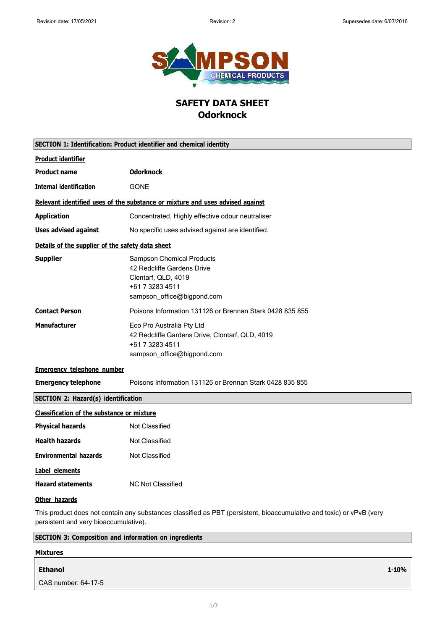**1-10%**



## **SAFETY DATA SHEET Odorknock**

| <b>SECTION 1: Identification: Product identifier and chemical identity</b>                                                                                    |                                                                                                                                        |
|---------------------------------------------------------------------------------------------------------------------------------------------------------------|----------------------------------------------------------------------------------------------------------------------------------------|
| <b>Product identifier</b>                                                                                                                                     |                                                                                                                                        |
| <b>Product name</b>                                                                                                                                           | <b>Odorknock</b>                                                                                                                       |
| <b>Internal identification</b>                                                                                                                                | <b>GONE</b>                                                                                                                            |
|                                                                                                                                                               | Relevant identified uses of the substance or mixture and uses advised against                                                          |
| <b>Application</b>                                                                                                                                            | Concentrated, Highly effective odour neutraliser                                                                                       |
| <b>Uses advised against</b>                                                                                                                                   | No specific uses advised against are identified.                                                                                       |
| Details of the supplier of the safety data sheet                                                                                                              |                                                                                                                                        |
| <b>Supplier</b>                                                                                                                                               | <b>Sampson Chemical Products</b><br>42 Redcliffe Gardens Drive<br>Clontarf, QLD, 4019<br>+61 7 3283 4511<br>sampson_office@bigpond.com |
| <b>Contact Person</b>                                                                                                                                         | Poisons Information 131126 or Brennan Stark 0428 835 855                                                                               |
| <b>Manufacturer</b>                                                                                                                                           | Eco Pro Australia Pty Ltd<br>42 Redcliffe Gardens Drive, Clontarf, QLD, 4019<br>+61 7 3283 4511<br>sampson_office@bigpond.com          |
| <b>Emergency telephone number</b>                                                                                                                             |                                                                                                                                        |
| <b>Emergency telephone</b>                                                                                                                                    | Poisons Information 131126 or Brennan Stark 0428 835 855                                                                               |
| <b>SECTION 2: Hazard(s) identification</b>                                                                                                                    |                                                                                                                                        |
| <b>Classification of the substance or mixture</b>                                                                                                             |                                                                                                                                        |
| <b>Physical hazards</b>                                                                                                                                       | Not Classified                                                                                                                         |
| <b>Health hazards</b>                                                                                                                                         | <b>Not Classified</b>                                                                                                                  |
| <b>Environmental hazards</b>                                                                                                                                  | <b>Not Classified</b>                                                                                                                  |
| Label elements                                                                                                                                                |                                                                                                                                        |
| <b>Hazard statements</b>                                                                                                                                      | NC Not Classified                                                                                                                      |
| Other hazards                                                                                                                                                 |                                                                                                                                        |
| This product does not contain any substances classified as PBT (persistent, bioaccumulative and toxic) or vPvB (very<br>persistent and very bioaccumulative). |                                                                                                                                        |
| <b>SECTION 3: Composition and information on ingredients</b>                                                                                                  |                                                                                                                                        |

# **Mixtures Ethanol** CAS number: 64-17-5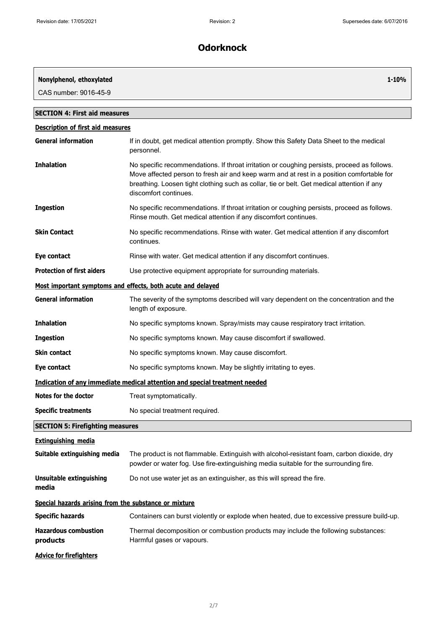| Nonylphenol, ethoxylated                              | 1-10%                                                                                                                                                                                                                                                                                                           |
|-------------------------------------------------------|-----------------------------------------------------------------------------------------------------------------------------------------------------------------------------------------------------------------------------------------------------------------------------------------------------------------|
| CAS number: 9016-45-9                                 |                                                                                                                                                                                                                                                                                                                 |
| <b>SECTION 4: First aid measures</b>                  |                                                                                                                                                                                                                                                                                                                 |
| <b>Description of first aid measures</b>              |                                                                                                                                                                                                                                                                                                                 |
| <b>General information</b>                            | If in doubt, get medical attention promptly. Show this Safety Data Sheet to the medical<br>personnel.                                                                                                                                                                                                           |
| <b>Inhalation</b>                                     | No specific recommendations. If throat irritation or coughing persists, proceed as follows.<br>Move affected person to fresh air and keep warm and at rest in a position comfortable for<br>breathing. Loosen tight clothing such as collar, tie or belt. Get medical attention if any<br>discomfort continues. |
| <b>Ingestion</b>                                      | No specific recommendations. If throat irritation or coughing persists, proceed as follows.<br>Rinse mouth. Get medical attention if any discomfort continues.                                                                                                                                                  |
| <b>Skin Contact</b>                                   | No specific recommendations. Rinse with water. Get medical attention if any discomfort<br>continues.                                                                                                                                                                                                            |
| Eye contact                                           | Rinse with water. Get medical attention if any discomfort continues.                                                                                                                                                                                                                                            |
| <b>Protection of first aiders</b>                     | Use protective equipment appropriate for surrounding materials.                                                                                                                                                                                                                                                 |
|                                                       | Most important symptoms and effects, both acute and delayed                                                                                                                                                                                                                                                     |
| <b>General information</b>                            | The severity of the symptoms described will vary dependent on the concentration and the<br>length of exposure.                                                                                                                                                                                                  |
| <b>Inhalation</b>                                     | No specific symptoms known. Spray/mists may cause respiratory tract irritation.                                                                                                                                                                                                                                 |
| <b>Ingestion</b>                                      | No specific symptoms known. May cause discomfort if swallowed.                                                                                                                                                                                                                                                  |
| <b>Skin contact</b>                                   | No specific symptoms known. May cause discomfort.                                                                                                                                                                                                                                                               |
| Eye contact                                           | No specific symptoms known. May be slightly irritating to eyes.                                                                                                                                                                                                                                                 |
|                                                       | Indication of any immediate medical attention and special treatment needed                                                                                                                                                                                                                                      |
| <b>Notes for the doctor</b>                           | Treat symptomatically.                                                                                                                                                                                                                                                                                          |
| <b>Specific treatments</b>                            | No special treatment required.                                                                                                                                                                                                                                                                                  |
| <b>SECTION 5: Firefighting measures</b>               |                                                                                                                                                                                                                                                                                                                 |
| <b>Extinguishing media</b>                            |                                                                                                                                                                                                                                                                                                                 |
| Suitable extinguishing media                          | The product is not flammable. Extinguish with alcohol-resistant foam, carbon dioxide, dry<br>powder or water fog. Use fire-extinguishing media suitable for the surrounding fire.                                                                                                                               |
| <b>Unsuitable extinguishing</b><br>media              | Do not use water jet as an extinguisher, as this will spread the fire.                                                                                                                                                                                                                                          |
| Special hazards arising from the substance or mixture |                                                                                                                                                                                                                                                                                                                 |
| <b>Specific hazards</b>                               | Containers can burst violently or explode when heated, due to excessive pressure build-up.                                                                                                                                                                                                                      |
| <b>Hazardous combustion</b><br>products               | Thermal decomposition or combustion products may include the following substances:<br>Harmful gases or vapours.                                                                                                                                                                                                 |
| <b>Advice for firefighters</b>                        |                                                                                                                                                                                                                                                                                                                 |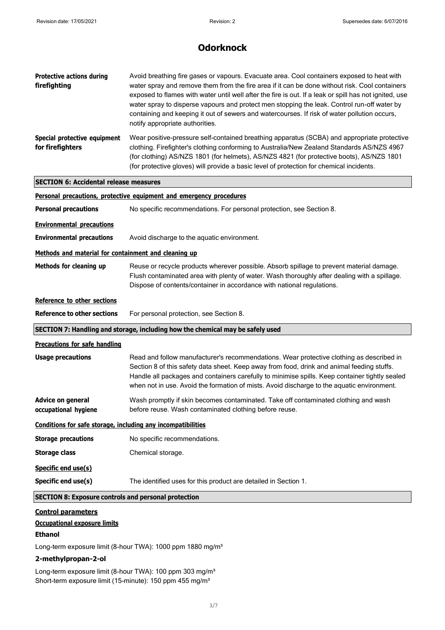| <b>Protective actions during</b><br>firefighting             | Avoid breathing fire gases or vapours. Evacuate area. Cool containers exposed to heat with<br>water spray and remove them from the fire area if it can be done without risk. Cool containers<br>exposed to flames with water until well after the fire is out. If a leak or spill has not ignited, use<br>water spray to disperse vapours and protect men stopping the leak. Control run-off water by<br>containing and keeping it out of sewers and watercourses. If risk of water pollution occurs,<br>notify appropriate authorities. |
|--------------------------------------------------------------|------------------------------------------------------------------------------------------------------------------------------------------------------------------------------------------------------------------------------------------------------------------------------------------------------------------------------------------------------------------------------------------------------------------------------------------------------------------------------------------------------------------------------------------|
| Special protective equipment<br>for firefighters             | Wear positive-pressure self-contained breathing apparatus (SCBA) and appropriate protective<br>clothing. Firefighter's clothing conforming to Australia/New Zealand Standards AS/NZS 4967<br>(for clothing) AS/NZS 1801 (for helmets), AS/NZS 4821 (for protective boots), AS/NZS 1801<br>(for protective gloves) will provide a basic level of protection for chemical incidents.                                                                                                                                                       |
| <b>SECTION 6: Accidental release measures</b>                |                                                                                                                                                                                                                                                                                                                                                                                                                                                                                                                                          |
|                                                              | Personal precautions, protective equipment and emergency procedures                                                                                                                                                                                                                                                                                                                                                                                                                                                                      |
| <b>Personal precautions</b>                                  | No specific recommendations. For personal protection, see Section 8.                                                                                                                                                                                                                                                                                                                                                                                                                                                                     |
| <b>Environmental precautions</b>                             |                                                                                                                                                                                                                                                                                                                                                                                                                                                                                                                                          |
| <b>Environmental precautions</b>                             | Avoid discharge to the aquatic environment.                                                                                                                                                                                                                                                                                                                                                                                                                                                                                              |
| Methods and material for containment and cleaning up         |                                                                                                                                                                                                                                                                                                                                                                                                                                                                                                                                          |
| Methods for cleaning up                                      | Reuse or recycle products wherever possible. Absorb spillage to prevent material damage.<br>Flush contaminated area with plenty of water. Wash thoroughly after dealing with a spillage.<br>Dispose of contents/container in accordance with national regulations.                                                                                                                                                                                                                                                                       |
| Reference to other sections                                  |                                                                                                                                                                                                                                                                                                                                                                                                                                                                                                                                          |
| <b>Reference to other sections</b>                           | For personal protection, see Section 8.                                                                                                                                                                                                                                                                                                                                                                                                                                                                                                  |
|                                                              | SECTION 7: Handling and storage, including how the chemical may be safely used                                                                                                                                                                                                                                                                                                                                                                                                                                                           |
| <b>Precautions for safe handling</b>                         |                                                                                                                                                                                                                                                                                                                                                                                                                                                                                                                                          |
| <b>Usage precautions</b>                                     | Read and follow manufacturer's recommendations. Wear protective clothing as described in<br>Section 8 of this safety data sheet. Keep away from food, drink and animal feeding stuffs.<br>Handle all packages and containers carefully to minimise spills. Keep container tightly sealed<br>when not in use. Avoid the formation of mists. Avoid discharge to the aquatic environment.                                                                                                                                                   |
| <b>Advice on general</b><br>occupational hygiene             | Wash promptly if skin becomes contaminated. Take off contaminated clothing and wash<br>before reuse. Wash contaminated clothing before reuse.                                                                                                                                                                                                                                                                                                                                                                                            |
| Conditions for safe storage, including any incompatibilities |                                                                                                                                                                                                                                                                                                                                                                                                                                                                                                                                          |
| <b>Storage precautions</b>                                   | No specific recommendations.                                                                                                                                                                                                                                                                                                                                                                                                                                                                                                             |
| <b>Storage class</b>                                         | Chemical storage.                                                                                                                                                                                                                                                                                                                                                                                                                                                                                                                        |
| Specific end use(s)                                          |                                                                                                                                                                                                                                                                                                                                                                                                                                                                                                                                          |
| Specific end use(s)                                          | The identified uses for this product are detailed in Section 1.                                                                                                                                                                                                                                                                                                                                                                                                                                                                          |
|                                                              |                                                                                                                                                                                                                                                                                                                                                                                                                                                                                                                                          |
| <b>SECTION 8: Exposure controls and personal protection</b>  |                                                                                                                                                                                                                                                                                                                                                                                                                                                                                                                                          |

Long-term exposure limit (8-hour TWA): 1000 ppm 1880 mg/m<sup>3</sup>

#### **2-methylpropan-2-ol**

Long-term exposure limit (8-hour TWA): 100 ppm 303 mg/m<sup>3</sup> Short-term exposure limit (15-minute): 150 ppm 455 mg/m<sup>3</sup>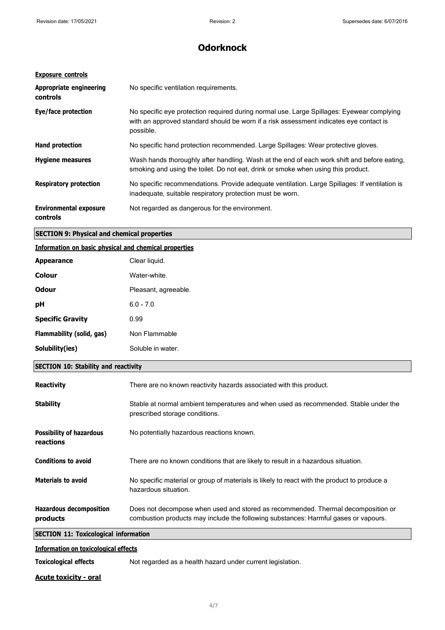| <b>Exposure controls</b>                          |                                                                                                                                                                                                  |
|---------------------------------------------------|--------------------------------------------------------------------------------------------------------------------------------------------------------------------------------------------------|
| <b>Appropriate engineering</b><br><b>controls</b> | No specific ventilation requirements.                                                                                                                                                            |
| Eye/face protection                               | No specific eye protection required during normal use. Large Spillages: Eyewear complying<br>with an approved standard should be worn if a risk assessment indicates eye contact is<br>possible. |
| <b>Hand protection</b>                            | No specific hand protection recommended. Large Spillages: Wear protective gloves.                                                                                                                |
| <b>Hygiene measures</b>                           | Wash hands thoroughly after handling. Wash at the end of each work shift and before eating,<br>smoking and using the toilet. Do not eat, drink or smoke when using this product.                 |
| <b>Respiratory protection</b>                     | No specific recommendations. Provide adequate ventilation. Large Spillages: If ventilation is<br>inadequate, suitable respiratory protection must be worn.                                       |
| <b>Environmental exposure</b><br>controls         | Not regarded as dangerous for the environment.                                                                                                                                                   |

### **SECTION 9: Physical and chemical properties**

#### **Information on basic physical and chemical properties**

| <b>Appearance</b>                                                       | Clear liquid.        |
|-------------------------------------------------------------------------|----------------------|
| <b>Colour</b>                                                           | Water-white.         |
| <b>Odour</b>                                                            | Pleasant, agreeable. |
| pH                                                                      | $6.0 - 7.0$          |
|                                                                         | 0.99                 |
|                                                                         | Non Flammable        |
|                                                                         | Soluble in water.    |
| <b>Specific Gravity</b><br>Flammability (solid, gas)<br>Solubility(ies) |                      |

### **SECTION 10: Stability and reactivity**

| <b>Reactivity</b>                            | There are no known reactivity hazards associated with this product.                                                                                                     |
|----------------------------------------------|-------------------------------------------------------------------------------------------------------------------------------------------------------------------------|
| <b>Stability</b>                             | Stable at normal ambient temperatures and when used as recommended. Stable under the<br>prescribed storage conditions.                                                  |
| <b>Possibility of hazardous</b><br>reactions | No potentially hazardous reactions known.                                                                                                                               |
| <b>Conditions to avoid</b>                   | There are no known conditions that are likely to result in a hazardous situation.                                                                                       |
| <b>Materials to avoid</b>                    | No specific material or group of materials is likely to react with the product to produce a<br>hazardous situation.                                                     |
| <b>Hazardous decomposition</b><br>products   | Does not decompose when used and stored as recommended. Thermal decomposition or<br>combustion products may include the following substances: Harmful gases or vapours. |
| <b>SECTION 11: Toxicological information</b> |                                                                                                                                                                         |
| <b>Information on toxicological effects</b>  |                                                                                                                                                                         |

**Toxicological effects** Not regarded as a health hazard under current legislation.

**Acute toxicity - oral**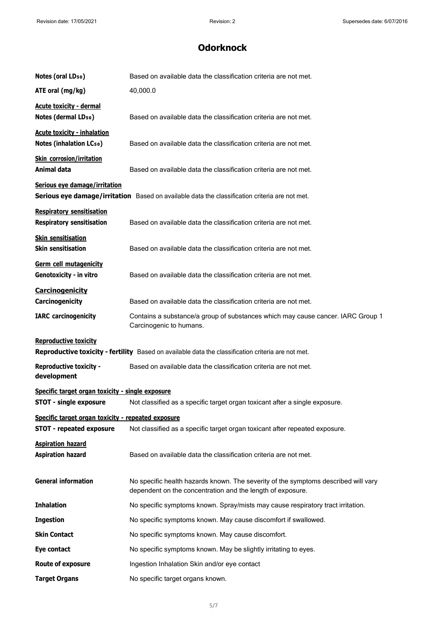| Notes (oral LD <sub>50</sub> )                                       | Based on available data the classification criteria are not met.                                                                                 |
|----------------------------------------------------------------------|--------------------------------------------------------------------------------------------------------------------------------------------------|
| ATE oral (mg/kg)                                                     | 40,000.0                                                                                                                                         |
| <b>Acute toxicity - dermal</b>                                       |                                                                                                                                                  |
| Notes (dermal LD <sub>50</sub> )                                     | Based on available data the classification criteria are not met.                                                                                 |
| <b>Acute toxicity - inhalation</b>                                   |                                                                                                                                                  |
| <b>Notes (inhalation LCso)</b>                                       | Based on available data the classification criteria are not met.                                                                                 |
| <b>Skin corrosion/irritation</b><br>Animal data                      | Based on available data the classification criteria are not met.                                                                                 |
| Serious eye damage/irritation                                        | Serious eye damage/irritation Based on available data the classification criteria are not met.                                                   |
| <b>Respiratory sensitisation</b><br><b>Respiratory sensitisation</b> | Based on available data the classification criteria are not met.                                                                                 |
| <b>Skin sensitisation</b>                                            |                                                                                                                                                  |
| <b>Skin sensitisation</b>                                            | Based on available data the classification criteria are not met.                                                                                 |
| Germ cell mutagenicity<br>Genotoxicity - in vitro                    | Based on available data the classification criteria are not met.                                                                                 |
| <b>Carcinogenicity</b>                                               |                                                                                                                                                  |
| Carcinogenicity                                                      | Based on available data the classification criteria are not met.                                                                                 |
| <b>IARC</b> carcinogenicity                                          | Contains a substance/a group of substances which may cause cancer. IARC Group 1<br>Carcinogenic to humans.                                       |
| <b>Reproductive toxicity</b>                                         | Reproductive toxicity - fertility Based on available data the classification criteria are not met.                                               |
| <b>Reproductive toxicity -</b><br>development                        | Based on available data the classification criteria are not met.                                                                                 |
| Specific target organ toxicity - single exposure                     |                                                                                                                                                  |
| <b>STOT - single exposure</b>                                        | Not classified as a specific target organ toxicant after a single exposure.                                                                      |
| Specific target organ toxicity - repeated exposure                   |                                                                                                                                                  |
| <b>STOT - repeated exposure</b>                                      | Not classified as a specific target organ toxicant after repeated exposure.                                                                      |
| <b>Aspiration hazard</b><br><b>Aspiration hazard</b>                 | Based on available data the classification criteria are not met.                                                                                 |
| <b>General information</b>                                           | No specific health hazards known. The severity of the symptoms described will vary<br>dependent on the concentration and the length of exposure. |
| <b>Inhalation</b>                                                    | No specific symptoms known. Spray/mists may cause respiratory tract irritation.                                                                  |
| <b>Ingestion</b>                                                     | No specific symptoms known. May cause discomfort if swallowed.                                                                                   |
| <b>Skin Contact</b>                                                  | No specific symptoms known. May cause discomfort.                                                                                                |
| Eye contact                                                          | No specific symptoms known. May be slightly irritating to eyes.                                                                                  |
| <b>Route of exposure</b>                                             | Ingestion Inhalation Skin and/or eye contact                                                                                                     |
| <b>Target Organs</b>                                                 | No specific target organs known.                                                                                                                 |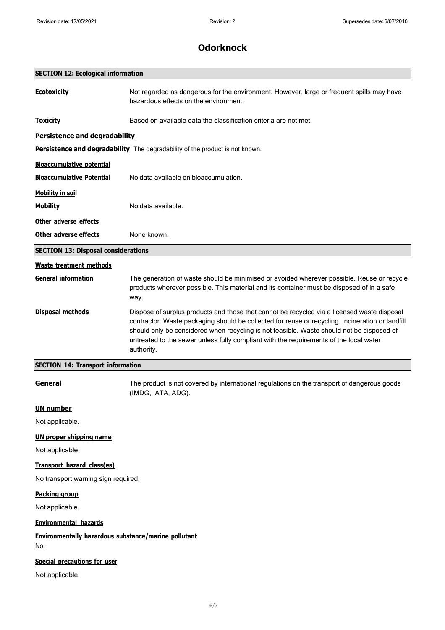|                                                                   | UUUI NIIULN                                                                                                                                                                                                                                                                                                                                                                                          |
|-------------------------------------------------------------------|------------------------------------------------------------------------------------------------------------------------------------------------------------------------------------------------------------------------------------------------------------------------------------------------------------------------------------------------------------------------------------------------------|
| <b>SECTION 12: Ecological information</b>                         |                                                                                                                                                                                                                                                                                                                                                                                                      |
| <b>Ecotoxicity</b>                                                | Not regarded as dangerous for the environment. However, large or frequent spills may have<br>hazardous effects on the environment.                                                                                                                                                                                                                                                                   |
| <b>Toxicity</b>                                                   | Based on available data the classification criteria are not met.                                                                                                                                                                                                                                                                                                                                     |
| Persistence and degradability                                     |                                                                                                                                                                                                                                                                                                                                                                                                      |
|                                                                   | Persistence and degradability The degradability of the product is not known.                                                                                                                                                                                                                                                                                                                         |
| <b>Bioaccumulative potential</b>                                  |                                                                                                                                                                                                                                                                                                                                                                                                      |
| <b>Bioaccumulative Potential</b>                                  | No data available on bioaccumulation.                                                                                                                                                                                                                                                                                                                                                                |
| <b>Mobility in soil</b>                                           |                                                                                                                                                                                                                                                                                                                                                                                                      |
| <b>Mobility</b>                                                   | No data available.                                                                                                                                                                                                                                                                                                                                                                                   |
| Other adverse effects                                             |                                                                                                                                                                                                                                                                                                                                                                                                      |
| <b>Other adverse effects</b>                                      | None known.                                                                                                                                                                                                                                                                                                                                                                                          |
| <b>SECTION 13: Disposal considerations</b>                        |                                                                                                                                                                                                                                                                                                                                                                                                      |
| <b>Waste treatment methods</b>                                    |                                                                                                                                                                                                                                                                                                                                                                                                      |
| <b>General information</b>                                        | The generation of waste should be minimised or avoided wherever possible. Reuse or recycle<br>products wherever possible. This material and its container must be disposed of in a safe<br>way.                                                                                                                                                                                                      |
| <b>Disposal methods</b>                                           | Dispose of surplus products and those that cannot be recycled via a licensed waste disposal<br>contractor. Waste packaging should be collected for reuse or recycling. Incineration or landfill<br>should only be considered when recycling is not feasible. Waste should not be disposed of<br>untreated to the sewer unless fully compliant with the requirements of the local water<br>authority. |
| <b>SECTION 14: Transport information</b>                          |                                                                                                                                                                                                                                                                                                                                                                                                      |
| General                                                           | The product is not covered by international regulations on the transport of dangerous goods<br>(IMDG, IATA, ADG).                                                                                                                                                                                                                                                                                    |
| <b>UN number</b>                                                  |                                                                                                                                                                                                                                                                                                                                                                                                      |
| Not applicable.                                                   |                                                                                                                                                                                                                                                                                                                                                                                                      |
| <b>UN proper shipping name</b><br>Not applicable.                 |                                                                                                                                                                                                                                                                                                                                                                                                      |
| Transport hazard class(es)<br>No transport warning sign required. |                                                                                                                                                                                                                                                                                                                                                                                                      |
| <b>Packing group</b>                                              |                                                                                                                                                                                                                                                                                                                                                                                                      |
| Not applicable.                                                   |                                                                                                                                                                                                                                                                                                                                                                                                      |
| <b>Environmental hazards</b>                                      |                                                                                                                                                                                                                                                                                                                                                                                                      |
| Environmentally hazardous substance/marine pollutant<br>No.       |                                                                                                                                                                                                                                                                                                                                                                                                      |
| <b>Special precautions for user</b><br>Not applicable.            |                                                                                                                                                                                                                                                                                                                                                                                                      |
|                                                                   |                                                                                                                                                                                                                                                                                                                                                                                                      |